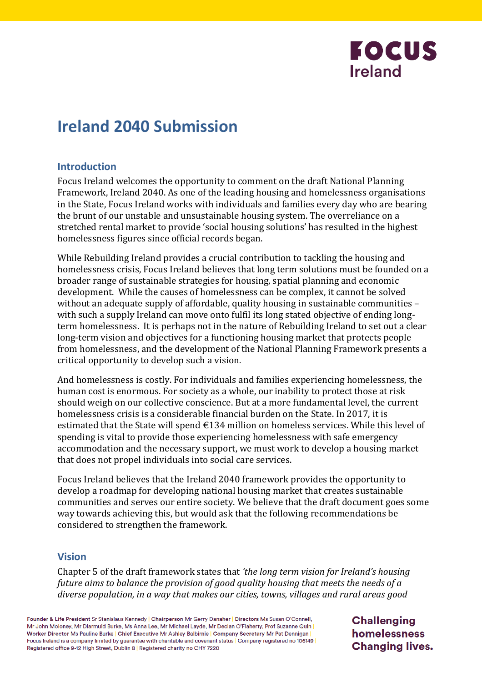

# **Ireland 2040 Submission**

## **Introduction**

Focus Ireland welcomes the opportunity to comment on the draft National Planning Framework, Ireland 2040. As one of the leading housing and homelessness organisations in the State, Focus Ireland works with individuals and families every day who are bearing the brunt of our unstable and unsustainable housing system. The overreliance on a stretched rental market to provide 'social housing solutions' has resulted in the highest homelessness figures since official records began.

While Rebuilding Ireland provides a crucial contribution to tackling the housing and homelessness crisis, Focus Ireland believes that long term solutions must be founded on a broader range of sustainable strategies for housing, spatial planning and economic development. While the causes of homelessness can be complex, it cannot be solved without an adequate supply of affordable, quality housing in sustainable communities – with such a supply Ireland can move onto fulfil its long stated objective of ending longterm homelessness. It is perhaps not in the nature of Rebuilding Ireland to set out a clear long-term vision and objectives for a functioning housing market that protects people from homelessness, and the development of the National Planning Framework presents a critical opportunity to develop such a vision.

And homelessness is costly. For individuals and families experiencing homelessness, the human cost is enormous. For society as a whole, our inability to protect those at risk should weigh on our collective conscience. But at a more fundamental level, the current homelessness crisis is a considerable financial burden on the State. In 2017, it is estimated that the State will spend  $\epsilon$ 134 million on homeless services. While this level of spending is vital to provide those experiencing homelessness with safe emergency accommodation and the necessary support, we must work to develop a housing market that does not propel individuals into social care services.

Focus Ireland believes that the Ireland 2040 framework provides the opportunity to develop a roadmap for developing national housing market that creates sustainable communities and serves our entire society. We believe that the draft document goes some way towards achieving this, but would ask that the following recommendations be considered to strengthen the framework.

### **Vision**

Chapter 5 of the draft framework states that *'the long term vision for Ireland's housing future aims to balance the provision of good quality housing that meets the needs of a diverse population, in a way that makes our cities, towns, villages and rural areas good* 

Founder & Life President Sr Stanislaus Kennedy | Chairperson Mr Gerry Danaher | Directors Ms Susan O'Connell, Mr John Moloney, Mr Diarmuid Burke, Ms Anna Lee, Mr Michael Layde, Mr Declan O'Flaherty, Prof Suzanne Quin Worker Director Ms Pauline Burke | Chief Executive Mr Ashley Balbirnie | Company Secretary Mr Pat Dennigan | Focus Ireland is a company limited by guarantee with charitable and covenant status | Company registered no 106149 Registered office 9-12 High Street, Dublin 8 | Registered charity no CHY 7220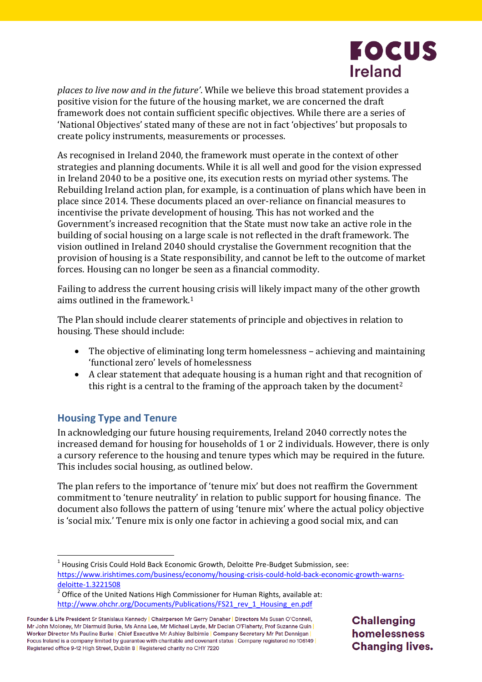

*places to live now and in the future'*. While we believe this broad statement provides a positive vision for the future of the housing market, we are concerned the draft framework does not contain sufficient specific objectives. While there are a series of 'National Objectives' stated many of these are not in fact 'objectives' but proposals to create policy instruments, measurements or processes.

As recognised in Ireland 2040, the framework must operate in the context of other strategies and planning documents. While it is all well and good for the vision expressed in Ireland 2040 to be a positive one, its execution rests on myriad other systems. The Rebuilding Ireland action plan, for example, is a continuation of plans which have been in place since 2014. These documents placed an over-reliance on financial measures to incentivise the private development of housing. This has not worked and the Government's increased recognition that the State must now take an active role in the building of social housing on a large scale is not reflected in the draft framework. The vision outlined in Ireland 2040 should crystalise the Government recognition that the provision of housing is a State responsibility, and cannot be left to the outcome of market forces. Housing can no longer be seen as a financial commodity.

Failing to address the current housing crisis will likely impact many of the other growth aims outlined in the framework. 1

The Plan should include clearer statements of principle and objectives in relation to housing. These should include:

- The objective of eliminating long term homelessness achieving and maintaining 'functional zero' levels of homelessness
- A clear statement that adequate housing is a human right and that recognition of this right is a central to the framing of the approach taken by the document<sup>2</sup>

# **Housing Type and Tenure**

 $\overline{\phantom{a}}$ 

In acknowledging our future housing requirements, Ireland 2040 correctly notes the increased demand for housing for households of 1 or 2 individuals. However, there is only a cursory reference to the housing and tenure types which may be required in the future. This includes social housing, as outlined below.

The plan refers to the importance of 'tenure mix' but does not reaffirm the Government commitment to 'tenure neutrality' in relation to public support for housing finance. The document also follows the pattern of using 'tenure mix' where the actual policy objective is 'social mix.' Tenure mix is only one factor in achieving a good social mix, and can

 $^1$  Housing Crisis Could Hold Back Economic Growth, Deloitte Pre-Budget Submission, see: [https://www.irishtimes.com/business/economy/housing-crisis-could-hold-back-economic-growth-warns](https://www.irishtimes.com/business/economy/housing-crisis-could-hold-back-economic-growth-warns-deloitte-1.3221508)[deloitte-1.3221508](https://www.irishtimes.com/business/economy/housing-crisis-could-hold-back-economic-growth-warns-deloitte-1.3221508) 

<sup>2</sup> Office of the United Nations High Commissioner for Human Rights, available at: [http://www.ohchr.org/Documents/Publications/FS21\\_rev\\_1\\_Housing\\_en.pdf](http://www.ohchr.org/Documents/Publications/FS21_rev_1_Housing_en.pdf)

Founder & Life President Sr Stanislaus Kennedy | Chairperson Mr Gerry Danaher | Directors Ms Susan O'Connell, Mr John Moloney, Mr Diarmuid Burke, Ms Anna Lee, Mr Michael Layde, Mr Declan O'Flaherty, Prof Suzanne Quin Worker Director Ms Pauline Burke | Chief Executive Mr Ashley Balbirnie | Company Secretary Mr Pat Dennigan | Focus Ireland is a company limited by guarantee with charitable and covenant status | Company registered no 106149 | Registered office 9-12 High Street, Dublin 8 | Registered charity no CHY 7220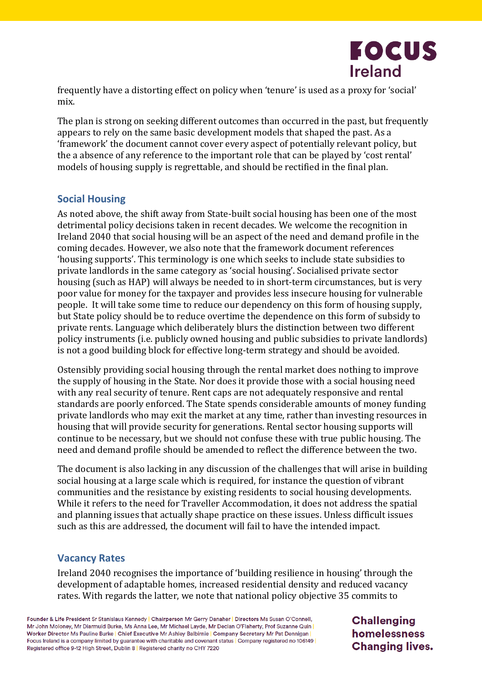

frequently have a distorting effect on policy when 'tenure' is used as a proxy for 'social' mix.

The plan is strong on seeking different outcomes than occurred in the past, but frequently appears to rely on the same basic development models that shaped the past. As a 'framework' the document cannot cover every aspect of potentially relevant policy, but the a absence of any reference to the important role that can be played by 'cost rental' models of housing supply is regrettable, and should be rectified in the final plan.

## **Social Housing**

As noted above, the shift away from State-built social housing has been one of the most detrimental policy decisions taken in recent decades. We welcome the recognition in Ireland 2040 that social housing will be an aspect of the need and demand profile in the coming decades. However, we also note that the framework document references 'housing supports'. This terminology is one which seeks to include state subsidies to private landlords in the same category as 'social housing'. Socialised private sector housing (such as HAP) will always be needed to in short-term circumstances, but is very poor value for money for the taxpayer and provides less insecure housing for vulnerable people. It will take some time to reduce our dependency on this form of housing supply, but State policy should be to reduce overtime the dependence on this form of subsidy to private rents. Language which deliberately blurs the distinction between two different policy instruments (i.e. publicly owned housing and public subsidies to private landlords) is not a good building block for effective long-term strategy and should be avoided.

Ostensibly providing social housing through the rental market does nothing to improve the supply of housing in the State. Nor does it provide those with a social housing need with any real security of tenure. Rent caps are not adequately responsive and rental standards are poorly enforced. The State spends considerable amounts of money funding private landlords who may exit the market at any time, rather than investing resources in housing that will provide security for generations. Rental sector housing supports will continue to be necessary, but we should not confuse these with true public housing. The need and demand profile should be amended to reflect the difference between the two.

The document is also lacking in any discussion of the challenges that will arise in building social housing at a large scale which is required, for instance the question of vibrant communities and the resistance by existing residents to social housing developments. While it refers to the need for Traveller Accommodation, it does not address the spatial and planning issues that actually shape practice on these issues. Unless difficult issues such as this are addressed, the document will fail to have the intended impact.

### **Vacancy Rates**

Ireland 2040 recognises the importance of 'building resilience in housing' through the development of adaptable homes, increased residential density and reduced vacancy rates. With regards the latter, we note that national policy objective 35 commits to

Founder & Life President Sr Stanislaus Kennedy | Chairperson Mr Gerry Danaher | Directors Ms Susan O'Connell, Mr John Moloney, Mr Diarmuid Burke, Ms Anna Lee, Mr Michael Layde, Mr Declan O'Flaherty, Prof Suzanne Quin Worker Director Ms Pauline Burke | Chief Executive Mr Ashley Balbirnie | Company Secretary Mr Pat Dennigan | Focus Ireland is a company limited by guarantee with charitable and covenant status | Company registered no 106149 Registered office 9-12 High Street, Dublin 8 | Registered charity no CHY 7220